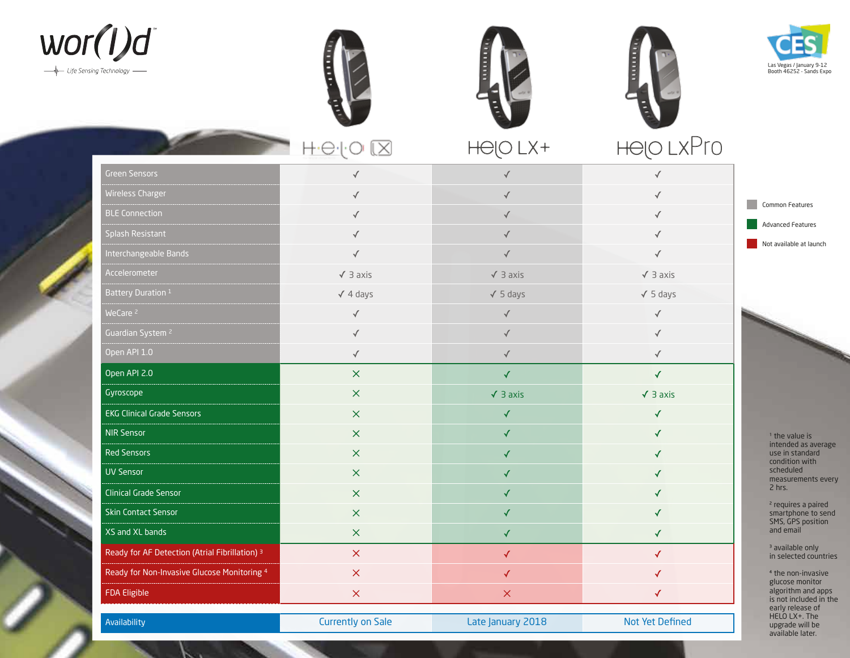









|                                                           | $H \oplus O$<br>lX        | HOO LX+           | Helo LXPro      |                                                                                                                                                                                                                              |
|-----------------------------------------------------------|---------------------------|-------------------|-----------------|------------------------------------------------------------------------------------------------------------------------------------------------------------------------------------------------------------------------------|
| <b>Green Sensors</b>                                      |                           |                   | $\sqrt{ }$      | Common Features<br><b>Advanced Features</b><br>Not available at launch                                                                                                                                                       |
| <b>Wireless Charger</b>                                   |                           |                   |                 |                                                                                                                                                                                                                              |
| <b>BLE Connection</b>                                     |                           |                   |                 |                                                                                                                                                                                                                              |
| Splash Resistant                                          |                           | $\checkmark$      |                 |                                                                                                                                                                                                                              |
| Interchangeable Bands                                     |                           |                   |                 |                                                                                                                                                                                                                              |
| <b>Accelerometer</b>                                      | $\sqrt{3}$ axis           | $\sqrt{3}$ axis   | $\sqrt{3}$ axis |                                                                                                                                                                                                                              |
| Battery Duration 1                                        | $\sqrt{4}$ days           | $\sqrt{5}$ days   | $\sqrt{5}$ days |                                                                                                                                                                                                                              |
| WeCare <sup>2</sup>                                       | $\checkmark$              | $\checkmark$      | $\sqrt{ }$      |                                                                                                                                                                                                                              |
| Guardian System <sup>2</sup>                              |                           | $\sqrt{}$         | $\checkmark$    |                                                                                                                                                                                                                              |
| Open API 1.0                                              | $\sqrt{2}$                | $\sqrt{ }$        | $\checkmark$    |                                                                                                                                                                                                                              |
| Open API 2.0                                              | $\boldsymbol{\times}$     | $\sqrt{2}$        | $\checkmark$    |                                                                                                                                                                                                                              |
| Gyroscope                                                 | $\times$                  | $\sqrt{3}$ axis   | $\sqrt{3}$ axis |                                                                                                                                                                                                                              |
| <b>EKG Clinical Grade Sensors</b>                         | $\times$                  | √                 | $\checkmark$    |                                                                                                                                                                                                                              |
| <b>NIR Sensor</b>                                         | $\times$                  | $\checkmark$      | $\checkmark$    | <sup>1</sup> the value is<br>intended as average<br>use in standard<br>condition with<br>scheduled<br>measurements every<br>2 hrs.<br><sup>2</sup> requires a paired<br>smartphone to send<br>SMS, GPS position<br>and email |
| <b>Red Sensors</b>                                        | $\boldsymbol{\mathsf{X}}$ | $\checkmark$      | ✓               |                                                                                                                                                                                                                              |
| <b>UV Sensor</b>                                          | $\times$                  | $\checkmark$      | $\checkmark$    |                                                                                                                                                                                                                              |
| <b>Clinical Grade Sensor</b>                              | $\boldsymbol{\times}$     | ✓                 | ✓               |                                                                                                                                                                                                                              |
| <b>Skin Contact Sensor</b>                                | $\times$                  | ✓                 | ✓               |                                                                                                                                                                                                                              |
| XS and XL bands                                           | $\boldsymbol{\times}$     | ✓                 | ✓               |                                                                                                                                                                                                                              |
| Ready for AF Detection (Atrial Fibrillation) <sup>3</sup> | $\boldsymbol{\times}$     | $\checkmark$      | $\checkmark$    | <sup>3</sup> available only<br>in selected countries                                                                                                                                                                         |
| Ready for Non-Invasive Glucose Monitoring 4               | $\boldsymbol{\times}$     | √                 | √               | <sup>4</sup> the non-invasive<br>glucose monitor                                                                                                                                                                             |
| <b>FDA Eligible</b>                                       | $\mathsf X$               | $\times$          | $\checkmark$    | algorithm and apps<br>is not included in the                                                                                                                                                                                 |
| Availability                                              | <b>Currently on Sale</b>  | Late January 2018 | Not Yet Defined | early release of<br>HELO LX+. The<br>upgrade will be<br>available later.                                                                                                                                                     |